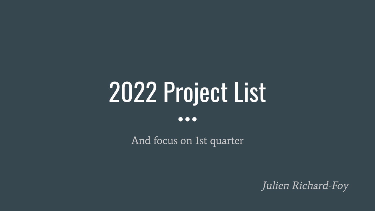# 2022 Project List

#### $\bullet\bullet\bullet$

And focus on 1st quarter

Julien Richard-Foy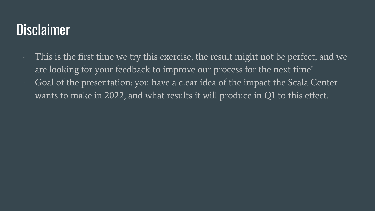#### **Disclaimer**

- This is the first time we try this exercise, the result might not be perfect, and we are looking for your feedback to improve our process for the next time!
- Goal of the presentation: you have a clear idea of the impact the Scala Center wants to make in 2022, and what results it will produce in Q1 to this effect.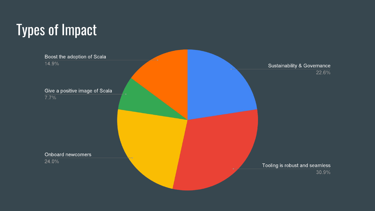# Types of Impact

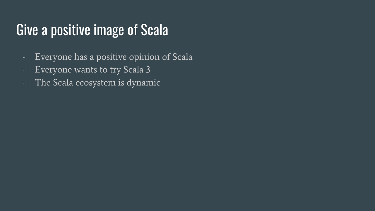#### Give a positive image of Scala

- Everyone has a positive opinion of Scala
- Everyone wants to try Scala 3
- The Scala ecosystem is dynamic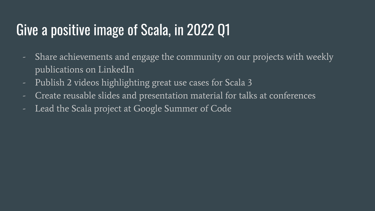### Give a positive image of Scala, in 2022 Q1

- Share achievements and engage the community on our projects with weekly publications on LinkedIn
- Publish 2 videos highlighting great use cases for Scala 3
- Create reusable slides and presentation material for talks at conferences
- Lead the Scala project at Google Summer of Code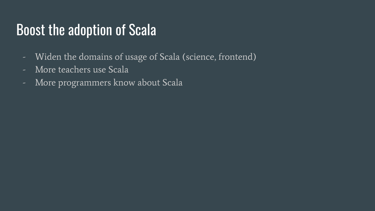#### Boost the adoption of Scala

- Widen the domains of usage of Scala (science, frontend)
- More teachers use Scala
- More programmers know about Scala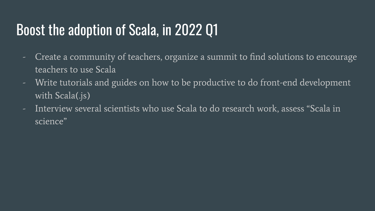### Boost the adoption of Scala, in 2022 Q1

- Create a community of teachers, organize a summit to find solutions to encourage teachers to use Scala
- Write tutorials and guides on how to be productive to do front-end development with Scala(.js)
- Interview several scientists who use Scala to do research work, assess "Scala in science"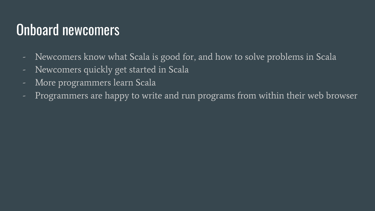### Onboard newcomers

- Newcomers know what Scala is good for, and how to solve problems in Scala
- Newcomers quickly get started in Scala
- More programmers learn Scala
- Programmers are happy to write and run programs from within their web browser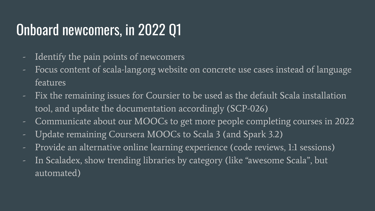# Onboard newcomers, in 2022 Q1

- Identify the pain points of newcomers
- Focus content of scala-lang.org website on concrete use cases instead of language features
- Fix the remaining issues for Coursier to be used as the default Scala installation tool, and update the documentation accordingly (SCP-026)
- Communicate about our MOOCs to get more people completing courses in 2022
- Update remaining Coursera MOOCs to Scala 3 (and Spark 3.2)
- Provide an alternative online learning experience (code reviews, 1:1 sessions)
- In Scaladex, show trending libraries by category (like "awesome Scala", but automated)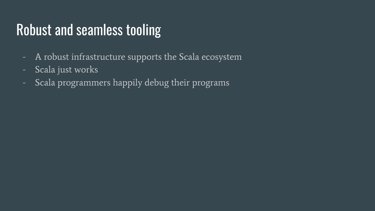#### Robust and seamless tooling

- A robust infrastructure supports the Scala ecosystem
- Scala just works
- Scala programmers happily debug their programs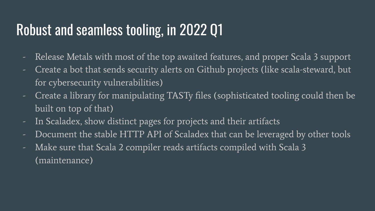### Robust and seamless tooling, in 2022 Q1

- Release Metals with most of the top awaited features, and proper Scala 3 support
- Create a bot that sends security alerts on Github projects (like scala-steward, but for cybersecurity vulnerabilities)
- Create a library for manipulating TASTy files (sophisticated tooling could then be built on top of that)
- In Scaladex, show distinct pages for projects and their artifacts
- Document the stable HTTP API of Scaladex that can be leveraged by other tools
- Make sure that Scala 2 compiler reads artifacts compiled with Scala 3 (maintenance)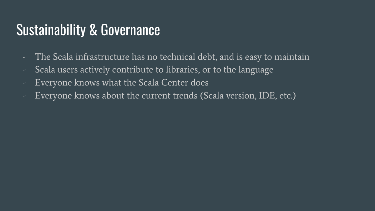#### Sustainability & Governance

- The Scala infrastructure has no technical debt, and is easy to maintain
- Scala users actively contribute to libraries, or to the language
- Everyone knows what the Scala Center does
- Everyone knows about the current trends (Scala version, IDE, etc.)